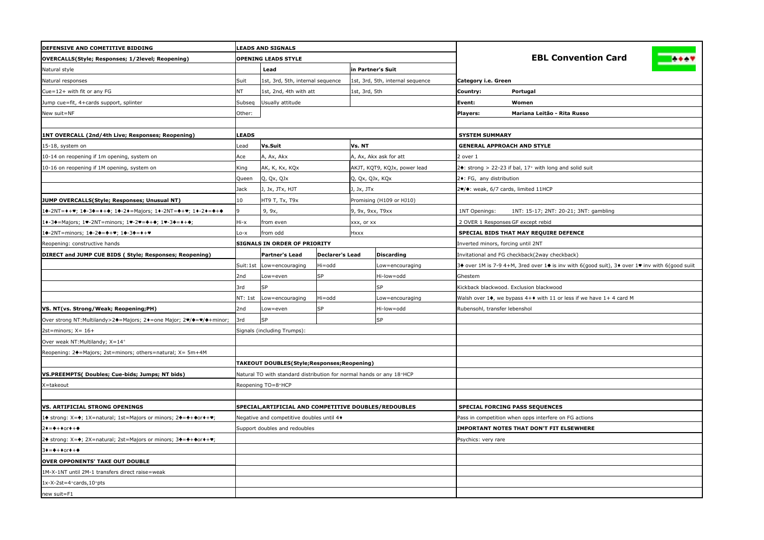| DEFENSIVE AND COMETITIVE BIDDING                                   | <b>LEADS AND SIGNALS</b> |                                                                      |                 |                              |                                      |                                                                              |                                                                                                |
|--------------------------------------------------------------------|--------------------------|----------------------------------------------------------------------|-----------------|------------------------------|--------------------------------------|------------------------------------------------------------------------------|------------------------------------------------------------------------------------------------|
| OVERCALLS(Style; Responses; 1/2level; Reopening)                   |                          | <b>OPENING LEADS STYLE</b>                                           |                 |                              |                                      |                                                                              | <b>EBL Convention Card</b>                                                                     |
| Natural style                                                      |                          | Lead                                                                 |                 | in Partner's Suit            |                                      |                                                                              |                                                                                                |
| Natural responses                                                  | Suit                     | 1st, 3rd, 5th, internal sequence                                     |                 |                              | 1st, 3rd, 5th, internal sequence     | Category i.e. Green                                                          |                                                                                                |
| Cue=12+ with fit or any FG                                         | NΤ                       | 1st, 2nd, 4th with att                                               |                 | 1st, 3rd, 5th                |                                      | Country:                                                                     | Portugal                                                                                       |
| Jump cue=fit, 4+cards support, splinter                            | Subseq                   | Usually attitude                                                     |                 |                              |                                      | Event:                                                                       | Women                                                                                          |
| New suit=NF                                                        | Other:                   |                                                                      |                 |                              |                                      | Players:                                                                     | Mariana Leitão - Rita Russo                                                                    |
|                                                                    |                          |                                                                      |                 |                              |                                      |                                                                              |                                                                                                |
| 1NT OVERCALL (2nd/4th Live; Responses; Reopening)                  | LEADS                    |                                                                      |                 |                              |                                      | <b>SYSTEM SUMMARY</b>                                                        |                                                                                                |
| 15-18, system on                                                   | _ead                     | Vs.Suit                                                              |                 | Vs. NT                       |                                      | <b>GENERAL APPROACH AND STYLE</b>                                            |                                                                                                |
| 10-14 on reopening if 1m opening, system on                        | Ace                      | A, Ax, Akx                                                           |                 |                              | A, Ax, Akx ask for att               | 2 over 1                                                                     |                                                                                                |
| 10-16 on reopening if 1M opening, system on                        | King                     | AK, K, Kx, KQx                                                       |                 | AKJT, KQT9, KQJx, power lead |                                      | $2\bullet$ : strong > 22-23 if bal, 17 <sup>+</sup> with long and solid suit |                                                                                                |
|                                                                    | Queen                    | Q, Qx, QJx<br>Q, Qx, QJx, KQx                                        |                 |                              | 2+: FG, any distribution             |                                                                              |                                                                                                |
|                                                                    | Jack                     | J, Jx, JTx, HJT<br>J, Jx, JTx                                        |                 |                              | !♥/♦: weak, 6/7 cards, limited 11HCP |                                                                              |                                                                                                |
| JUMP OVERCALLS(Style; Responses; Unusual NT)                       | 10                       | HT9 T, Tx, T9x                                                       |                 |                              | Promising (H109 or HJ10)             |                                                                              |                                                                                                |
| l♠-2NT=♦+♥; 1♠-3♠=♦+♠; 1♠-2♦=Majors; 1♦-2NT=♠+♥; 1♦-2♦=♣+♠         |                          | 9, 9x,                                                               |                 | 9, 9x, 9xx, T9xx             |                                      | 1NT Openings:                                                                | 1NT: 15-17; 2NT: 20-21; 3NT: gambling                                                          |
| .◆-3◆=Majors; 1♥-2NT=minors; 1♥-2♥=◆+◆; 1♥-3◆=◆+◆;                 | Hi-x                     | from even                                                            |                 | xxx, or xx                   |                                      | 2 OVER 1 Responses GF except rebid                                           |                                                                                                |
| 10-2NT=minors; 10-20=4+♥; 10-30=0+♥                                | Lo-x                     | from odd                                                             |                 | Hxxx                         |                                      | SPECIAL BIDS THAT MAY REQUIRE DEFENCE                                        |                                                                                                |
| Reopening: constructive hands                                      |                          | <b>SIGNALS IN ORDER OF PRIORITY</b>                                  |                 |                              |                                      | nverted minors, forcing until 2NT                                            |                                                                                                |
| DIRECT and JUMP CUE BIDS (Style; Responses; Reopening)             |                          | Partner's Lead                                                       | Declarer's Lead |                              | <b>Discarding</b>                    |                                                                              | Invitational and FG checkback(2way checkback)                                                  |
|                                                                    | Suit:1st                 | Low=encouraging                                                      | Hi=odd          |                              | Low=encouraging                      |                                                                              | 3♦ over 1M is 7-9 4+M, 3red over 1♦ is inv with 6(good suit), 3♦ over 1♥ inv with 6(good suiit |
|                                                                    | 2nd                      | Low=even                                                             | <b>SP</b>       |                              | Hi-low=odd                           | Ghestem                                                                      |                                                                                                |
|                                                                    | 3rd                      | <b>SP</b>                                                            |                 |                              | SP                                   | Kickback blackwood. Exclusion blackwood                                      |                                                                                                |
|                                                                    | NT: 1st                  | Low=encouraging                                                      | Hi=odd          |                              | Low=encouraging                      |                                                                              | Walsh over 14, we bypass $4 + \bullet$ with 11 or less if we have $1 + 4$ card M               |
| VS. NT(vs. Strong/Weak; Reopening;PH)                              | 2nd                      | Low=even                                                             | <b>SP</b>       |                              | Hi-low=odd                           | Rubensohl, transfer lebenshol                                                |                                                                                                |
| Over strong NT:Multilandy>2+=Majors; 2+=one Major; 2+/+=+/++minor; | 3rd                      | <b>SP</b>                                                            |                 |                              | <b>SP</b>                            |                                                                              |                                                                                                |
| 2st=minors; $X = 16+$                                              |                          | Signals (including Trumps):                                          |                 |                              |                                      |                                                                              |                                                                                                |
| Over weak NT: Multilandy; X=14+                                    |                          |                                                                      |                 |                              |                                      |                                                                              |                                                                                                |
| Reopening: 2+=Majors; 2st=minors; others=natural; X= 5m+4M         |                          |                                                                      |                 |                              |                                      |                                                                              |                                                                                                |
|                                                                    |                          | TAKEOUT DOUBLES(Style;Responses;Reopening)                           |                 |                              |                                      |                                                                              |                                                                                                |
| VS.PREEMPTS( Doubles; Cue-bids; Jumps; NT bids)                    |                          | Natural TO with standard distribution for normal hands or any 18+HCP |                 |                              |                                      |                                                                              |                                                                                                |
| X=takeout                                                          |                          | Reopening TO=8+HCP                                                   |                 |                              |                                      |                                                                              |                                                                                                |
|                                                                    |                          |                                                                      |                 |                              |                                      |                                                                              |                                                                                                |
| <b>VS. ARTIFICIAL STRONG OPENINGS</b>                              |                          | SPECIAL, ARTIFICIAL AND COMPETITIVE DOUBLES/REDOUBLES                |                 |                              |                                      | SPECIAL FORCING PASS SEQUENCES                                               |                                                                                                |
| 14 strong: X=4; 1X=natural; 1st=Majors or minors; 24=4+4or+++;     |                          | Negative and competitive doubles until 4+                            |                 |                              |                                      |                                                                              | Pass in competition when opps interfere on FG actions                                          |
| 2♦=♣+♦or♦+♠                                                        |                          | Support doubles and redoubles                                        |                 |                              |                                      |                                                                              | <b>IMPORTANT NOTES THAT DON'T FIT ELSEWHERE</b>                                                |
| 24 strong: X=4; 2X=natural; 2st=Majors or minors; 34=4+4or++♥;     |                          |                                                                      |                 |                              |                                      | Psychics: very rare                                                          |                                                                                                |
| 3♦=♣+♦or♦+♠                                                        |                          |                                                                      |                 |                              |                                      |                                                                              |                                                                                                |
| <b>OVER OPPONENTS' TAKE OUT DOUBLE</b>                             |                          |                                                                      |                 |                              |                                      |                                                                              |                                                                                                |
| 1M-X-1NT until 2M-1 transfers direct raise=weak                    |                          |                                                                      |                 |                              |                                      |                                                                              |                                                                                                |
| 1x-X-2st=4+cards,10+pts                                            |                          |                                                                      |                 |                              |                                      |                                                                              |                                                                                                |
| new suit=F1                                                        |                          |                                                                      |                 |                              |                                      |                                                                              |                                                                                                |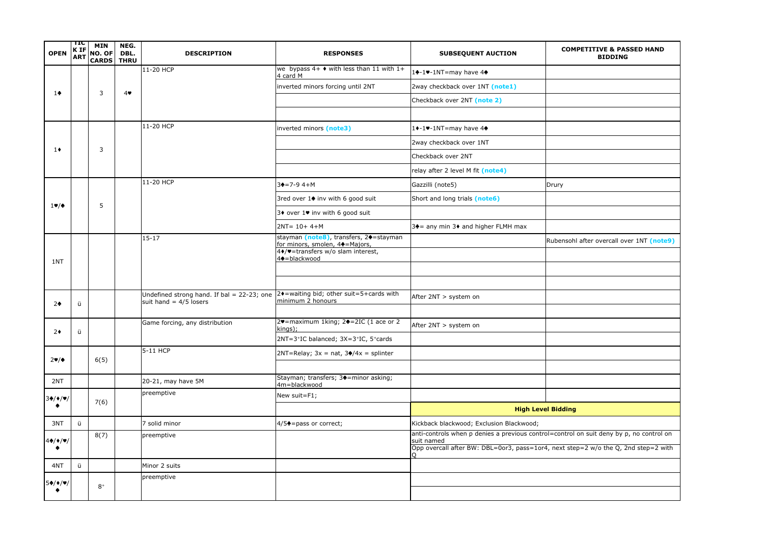| <b>OPEN</b>          | πс<br><b>KIF</b><br><b>ART</b> | <b>MIN</b><br>NO. OF<br>CARDS | NEG.<br>DBL.<br><b>THRU</b> | <b>DESCRIPTION</b>                                                     | <b>RESPONSES</b>                                                                                                                                     | <b>SUBSEQUENT AUCTION</b>                                                                                                                                                                   | <b>COMPETITIVE &amp; PASSED HAND</b><br><b>BIDDING</b> |
|----------------------|--------------------------------|-------------------------------|-----------------------------|------------------------------------------------------------------------|------------------------------------------------------------------------------------------------------------------------------------------------------|---------------------------------------------------------------------------------------------------------------------------------------------------------------------------------------------|--------------------------------------------------------|
|                      |                                |                               |                             | 11-20 HCP                                                              | we bypass $4+$ $\bullet$ with less than 11 with 1+<br>4 card M                                                                                       | 1+-1-1NT=may have 4+                                                                                                                                                                        |                                                        |
| $1+$                 |                                | 3                             | 4                           |                                                                        | inverted minors forcing until 2NT                                                                                                                    | 2way checkback over 1NT (note1)                                                                                                                                                             |                                                        |
|                      |                                |                               |                             |                                                                        |                                                                                                                                                      | Checkback over 2NT (note 2)                                                                                                                                                                 |                                                        |
|                      |                                |                               |                             |                                                                        |                                                                                                                                                      |                                                                                                                                                                                             |                                                        |
|                      |                                |                               |                             | 11-20 HCP                                                              | inverted minors (note3)                                                                                                                              | 1+-1-1NT=may have 4+                                                                                                                                                                        |                                                        |
| $1\bullet$           |                                | 3                             |                             |                                                                        |                                                                                                                                                      | 2way checkback over 1NT                                                                                                                                                                     |                                                        |
|                      |                                |                               |                             |                                                                        |                                                                                                                                                      | Checkback over 2NT                                                                                                                                                                          |                                                        |
|                      |                                |                               |                             |                                                                        |                                                                                                                                                      | relay after 2 level M fit (note4)                                                                                                                                                           |                                                        |
|                      |                                |                               |                             | 11-20 HCP                                                              | $3+17-9$ 4+M                                                                                                                                         | Gazzilli (note5)                                                                                                                                                                            | Drury                                                  |
| $1 \vee / \triangle$ |                                | 5                             |                             |                                                                        | 3red over 1♦ inv with 6 good suit                                                                                                                    | Short and long trials (note6)                                                                                                                                                               |                                                        |
|                      |                                |                               |                             |                                                                        | 3♦ over $1\blacktriangleright$ inv with 6 good suit                                                                                                  |                                                                                                                                                                                             |                                                        |
|                      |                                |                               |                             |                                                                        | $2NT = 10 + 4 + M$                                                                                                                                   | $3\spadesuit$ = any min $3\spadesuit$ and higher FLMH max                                                                                                                                   |                                                        |
|                      |                                |                               |                             | $15 - 17$                                                              | stayman (note8), transfers, 2 $e$ =stayman<br>for minors, smolen, 4+=Majors,<br>$4$ $\blacklozenge$ = transfers w/o slam interest,<br>4+ = blackwood |                                                                                                                                                                                             | Rubensohl after overcall over 1NT (note9)              |
| 1NT                  |                                |                               |                             |                                                                        |                                                                                                                                                      |                                                                                                                                                                                             |                                                        |
|                      |                                |                               |                             |                                                                        |                                                                                                                                                      |                                                                                                                                                                                             |                                                        |
|                      |                                |                               |                             | Undefined strong hand. If bal = 22-23; one<br>suit hand $= 4/5$ losers | 2◆=waiting bid; other suit=5+cards with<br>minimum 2 honours                                                                                         | After 2NT > system on                                                                                                                                                                       |                                                        |
| $2+$                 | ü                              |                               |                             |                                                                        |                                                                                                                                                      |                                                                                                                                                                                             |                                                        |
| $2*$                 | ü                              |                               |                             | Game forcing, any distribution                                         | 2♥=maximum 1king; 2♦=2IC (1 ace or 2<br> kings);                                                                                                     | After 2NT > system on                                                                                                                                                                       |                                                        |
|                      |                                |                               |                             |                                                                        | 2NT=3+IC balanced; 3X=3+IC, 5+cards                                                                                                                  |                                                                                                                                                                                             |                                                        |
| $2\Psi/\Phi$         |                                | 6(5)                          |                             | 5-11 HCP                                                               | $2NT = Relay$ ; $3x = nat$ , $3\frac{4}{x} = split$                                                                                                  |                                                                                                                                                                                             |                                                        |
|                      |                                |                               |                             |                                                                        |                                                                                                                                                      |                                                                                                                                                                                             |                                                        |
| 2NT                  |                                |                               |                             | 20-21, may have 5M                                                     | Stayman; transfers; 3 $\triangle$ =minor asking;<br>4m=blackwood                                                                                     |                                                                                                                                                                                             |                                                        |
| 34/4/9/              |                                | 7(6)                          |                             | preemptive                                                             | New suit=F1;                                                                                                                                         |                                                                                                                                                                                             |                                                        |
|                      |                                |                               |                             |                                                                        |                                                                                                                                                      |                                                                                                                                                                                             | <b>High Level Bidding</b>                              |
| 3NT                  | ü                              |                               |                             | 7 solid minor                                                          | $4/5$ = pass or correct;                                                                                                                             | Kickback blackwood; Exclusion Blackwood;                                                                                                                                                    |                                                        |
| 4♠/♦/♥/              |                                | 8(7)                          |                             | preemptive                                                             |                                                                                                                                                      | anti-controls when p denies a previous control=control on suit deny by p, no control on<br>suit named<br>Opp overcall after BW: DBL=0or3, pass=1or4, next step=2 w/o the Q, 2nd step=2 with |                                                        |
| 4NT                  | ü                              |                               |                             | Minor 2 suits                                                          |                                                                                                                                                      |                                                                                                                                                                                             |                                                        |
|                      |                                |                               |                             | preemptive                                                             |                                                                                                                                                      |                                                                                                                                                                                             |                                                        |
| 54/1/9               |                                | $8+$                          |                             |                                                                        |                                                                                                                                                      |                                                                                                                                                                                             |                                                        |